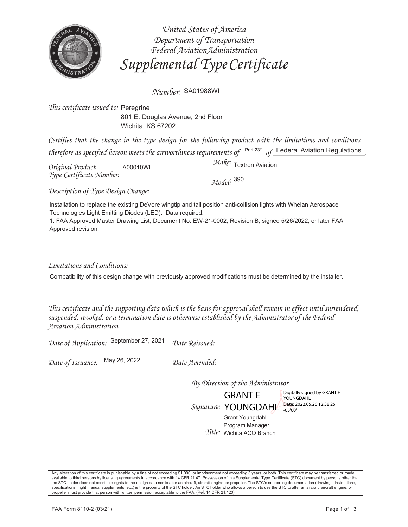

United States of America Department of Transportation Federal Aviation Administration Supplemental Type Certificate

Number: SA01988WI

This certificate issued to: Peregrine 801 E. Douglas Avenue, 2nd Floor Wichita, KS 67202

Certifies that the change in the type design for the following product with the limitations and conditions therefore as specified hereon meets the airworthiness requirements of  $P^{\text{art 23*}}$  of Federal Aviation Regulations

Original Product A00010WI Type Certificate Number:

Make: Textron Aviation

Model: 390

Description of Type Design Change:

Installation to replace the existing DeVore wingtip and tail position anti-collision lights with Whelan Aerospace Technologies Light Emitting Diodes (LED). Data required:

1. FAA Approved Master Drawing List, Document No. EW-21-0002, Revision B, signed 5/26/2022, or later FAA Approved revision.

Limitations and Conditions:

Compatibility of this design change with previously approved modifications must be determined by the installer.

This certificate and the supporting data which is the basis for approval shall remain in effect until surrendered, suspended, revoked, or a termination date is otherwise established by the Administrator of the Federal Aviation Administration.

Date of Application: September 27, 2021 Date Reissued:

Date of Issuance: May 26, 2022

Date Amended:

By Direction of the Administrator

**GRANTE** Signature: YOUNGDAHL Date: 2022.05.26 12:38:25

Digitally signed by GRANT E YOUNGDAHL

Grant Youngdahl Program Manager Title: Wichita ACO Branch

Any alteration of this certificate is punishable by a fine of not exceeding \$1,000, or imprisonment not exceeding 3 years, or both. This certificate may be transferred or made available to third persons by licensing agreem the STC holder does not constitute rights to the design data nor to alter an aircraft, aircraft engine, or propeller. The STC's supporting documentation (drawings, instructions, specifications, flight manual supplements, etc.) is the property of the STC holder. An STC holder who allows a person to use the STC to alter an aircraft, aircraft engine, or propeller must provide that person with written permission acceptable to the FAA. (Ref. 14 CFR 21.120).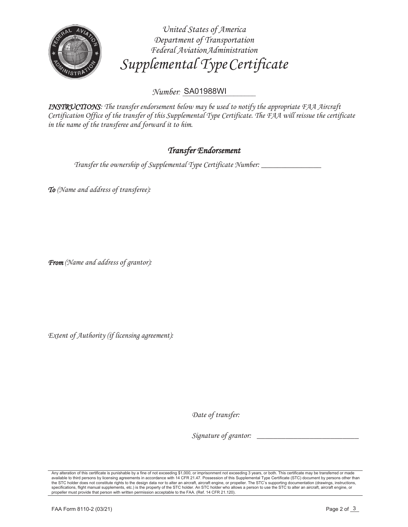

*United States of America Department of Transportation Federal Aviation Administration Supplemental Type Certificate* 

*Number: \_\_\_\_\_\_\_\_\_\_\_\_\_\_\_\_\_\_\_\_* SA01988WI

*INSTRUCTIONS: The transfer endorsement below may be used to notify the appropriate FAA Aircraft Certification Office of the transfer of this Supplemental Type Certificate. The FAA will reissue the certificate in the name of the transferee and forward it to him.*

## *Transfer Endorsement*

*Transfer the ownership of Supplemental Type Certificate Number: \_\_\_\_\_\_\_\_\_\_\_\_\_\_\_*

*To (Name and address of transferee):* 

*From (Name and address of grantor):* 

*Extent of Authority (if licensing agreement):* 

Date of transfer:

*Signature of grantor: \_\_\_\_\_\_\_\_\_\_\_\_\_\_\_\_\_\_\_\_\_\_\_\_\_*

Any alteration of this certificate is punishable by a fine of not exceeding \$1,000, or imprisonment not exceeding 3 years, or both. This certificate may be transferred or made<br>available to third persons by licensing agreem the STC holder does not constitute rights to the design data nor to alter an aircraft, aircraft engine, or propeller. The STC's supporting documentation (drawings, instructions, specifications, flight manual supplements, etc.) is the property of the STC holder. An STC holder who allows a person to use the STC to alter an aircraft, aircraft engine, or propeller must provide that person with written permission acceptable to the FAA. (Ref. 14 CFR 21.120).